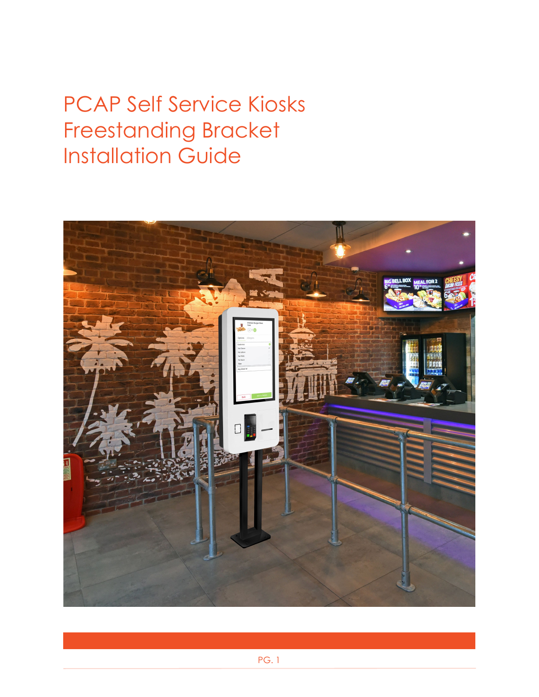# PCAP Self Service Kiosks Freestanding Bracket Installation Guide

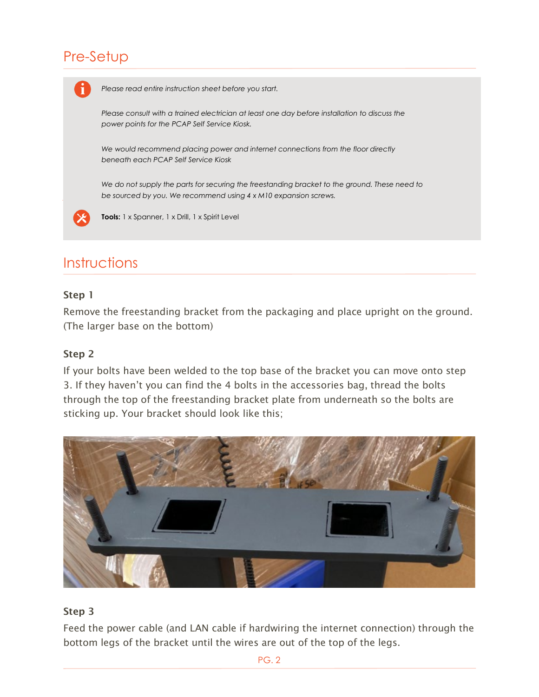# Pre-Setup



## Step 1

Remove the freestanding bracket from the packaging and place upright on the ground. (The larger base on the bottom)

#### Step 2

If your bolts have been welded to the top base of the bracket you can move onto step 3. If they haven't you can find the 4 bolts in the accessories bag, thread the bolts through the top of the freestanding bracket plate from underneath so the bolts are sticking up. Your bracket should look like this;



#### Step 3

Feed the power cable (and LAN cable if hardwiring the internet connection) through the bottom legs of the bracket until the wires are out of the top of the legs.